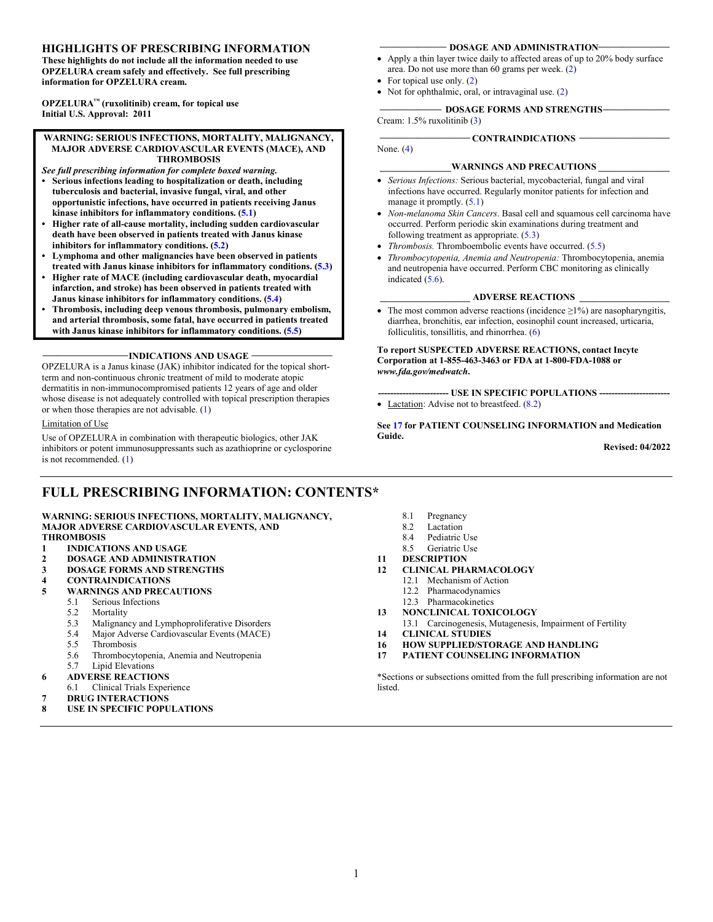#### **HIGHLIGHTS OF PRESCRIBING INFORMATION**

**These highlights do not include all the information needed to use OPZELURA cream safely and effectively. See full prescribing information for OPZELURA cream.**

**OPZELURA™ (ruxolitinib) cream, for topical use Initial U.S. Approval: 2011**

**WARNING: SERIOUS INFECTIONS, MORTALITY, MALIGNANCY, MAJOR ADVERSE CARDIOVASCULAR EVENTS (MACE), AND THROMBOSIS**

- *See full prescribing information for complete boxed warning.* **• Serious infections leading to hospitalization or death, including tuberculosis and bacterial, invasive fungal, viral, and other opportunistic infections, have occurred in patients receiving Janus kinase inhibitors for inflammatory conditions. [\(5.1\)](#page-2-0)**
- **Higher rate of all-cause mortality, including sudden cardiovascular death have been observed in patients treated with Janus kinase inhibitors for inflammatory conditions. [\(5.2\)](#page-3-0)**
- **Lymphoma and other malignancies have been observed in patients treated with Janus kinase inhibitors for inflammatory conditions. [\(5.3\)](#page-3-1)**
- **Higher rate of MACE (including cardiovascular death, myocardial infarction, and stroke) has been observed in patients treated with Janus kinase inhibitors for inflammatory conditions. [\(5.4\)](#page-4-0)**
- **Thrombosis, including deep venous thrombosis, pulmonary embolism, and arterial thrombosis, some fatal, have occurred in patients treated with Janus kinase inhibitors for inflammatory conditions. [\(5.5\)](#page-4-1)**

**\_\_\_\_\_\_\_\_\_\_\_\_\_\_\_\_\_\_INDICATIONS AND USAGE \_\_\_\_\_\_\_\_\_\_\_\_\_\_\_\_\_**

OPZELURA is a Janus kinase (JAK) inhibitor indicated for the topical shortterm and non-continuous chronic treatment of mild to moderate atopic dermatitis in non-immunocompromised patients 12 years of age and older whose disease is not adequately controlled with topical prescription therapies or when those therapies are not advisable. [\(1\)](#page-2-1)

#### Limitation of Use

Use of OPZELURA in combination with therapeutic biologics, other JAK inhibitors or potent immunosuppressants such as azathioprine or cyclosporine is not recommended. [\(1\)](#page-2-1)

### **FULL PRESCRIBING INFORMATION: CONTENTS\***

#### **WARNING: SERIOUS INFECTIONS, MORTALITY, MALIGNANCY, MAJOR ADVERSE CARDIOVASCULAR EVENTS, AND THROMBOSIS**

- 
- **1 INDICATIONS AND USAGE**
- **2 DOSAGE AND ADMINISTRATION 3 DOSAGE FORMS AND STRENGTHS**
- 
- **4 CONTRAINDICATIONS 5 WARNINGS AND PRECAUTIONS**
	- 5.1 Serious Infections<br>5.2 Mortality
		- Mortality
		-
		- 5.3 Malignancy and Lymphoproliferative Disorders<br>5.4 Maior Adverse Cardiovascular Events (MACE) 5.4 Major Adverse Cardiovascular Events (MACE)
		-
		- 5.5 Thrombosis<br>5.6 Thrombocyt 5.6 Thrombocytopenia, Anemia and Neutropenia
		- 5.7 Lipid Elevations
- **6 ADVERSE REACTIONS**
	- 6.1 Clinical Trials Experience
- **7 DRUG INTERACTIONS**
- **8 USE IN SPECIFIC POPULATIONS**
- **DOSAGE AND ADMINISTRATION-**
- Apply a thin layer twice daily to affected areas of up to 20% body surface area. Do not use more than 60 grams per week. [\(2\)](#page-2-2)
- For topical use only. [\(2\)](#page-2-2)
- Not for ophthalmic, oral, or intravaginal use. [\(2\)](#page-2-2)

#### **\_\_\_\_\_\_\_\_\_\_\_\_\_ DOSAGE FORMS AND STRENGTHS\_\_\_\_\_\_\_\_\_\_\_\_\_\_**

Cream: 1.5% ruxolitinib [\(3\)](#page-2-3)

None. [\(4\)](#page-2-4)

#### **\_\_\_\_\_\_\_\_\_\_\_\_\_\_\_WARNINGS AND PRECAUTIONS \_\_\_\_\_\_\_\_\_\_\_\_\_\_\_**

- *Serious Infections:* Serious bacterial, mycobacterial, fungal and viral infections have occurred. Regularly monitor patients for infection and manage it promptly.  $(5.1)$
- *Non-melanoma Skin Cancers*. Basal cell and squamous cell carcinoma have occurred. Perform periodic skin examinations during treatment and following treatment as appropriate.  $(5.3)$
- *Thrombosis.* Thromboembolic events have occurred. [\(5.5\)](#page-4-1)
- *Thrombocytopenia, Anemia and Neutropenia:* Thrombocytopenia, anemia and neutropenia have occurred. Perform CBC monitoring as clinically indicated [\(5.6\)](#page-4-2).

#### **\_\_\_\_\_\_\_\_\_\_\_\_\_\_\_\_\_\_\_ ADVERSE REACTIONS \_\_\_\_\_\_\_\_\_\_\_\_\_\_\_\_\_\_\_**

• The most common adverse reactions (incidence  $\geq$ 1%) are nasopharyngitis, diarrhea, bronchitis, ear infection, eosinophil count increased, urticaria, folliculitis, tonsillitis, and rhinorrhea. [\(6\)](#page-5-0)

**To report SUSPECTED ADVERSE REACTIONS, contact Incyte Corporation at 1-855-463-3463 or FDA at 1-800-FDA-1088 or**  *www.fda.gov/medwatch***.**

**----------------------- USE IN SPECIFIC POPULATIONS -----------------------**  • Lactation: Advise not to breastfeed.  $(8.2)$ 

**Se[e 17](#page-12-0) for PATIENT COUNSELING INFORMATION and Medication Guide.**

**Revised: 04/2022**

- 8.1 Pregnancy<br>8.2 Lactation
- 
- 8.2 Lactation<br>8.4 Pediatric Pediatric Use
- 8.5 Geriatric Use
- 
- **11 DESCRIPTION 12 CLINICAL PHARMACOLOGY**
	- 12.1 Mechanism of Action
	- 12.2 Pharmacodynamics
	- 12.3 Pharmacokinetics
- **13 NONCLINICAL TOXICOLOGY**
- 13.1 Carcinogenesis, Mutagenesis, Impairment of Fertility
- **14 CLINICAL STUDIES**
- **16 HOW SUPPLIED/STORAGE AND HANDLING**
- **17 PATIENT COUNSELING INFORMATION**

\*Sections or subsections omitted from the full prescribing information are not listed.

**\_\_\_\_\_\_\_\_\_\_\_\_\_\_\_\_\_\_\_ CONTRAINDICATIONS \_\_\_\_\_\_\_\_\_\_\_\_\_\_\_\_\_\_\_**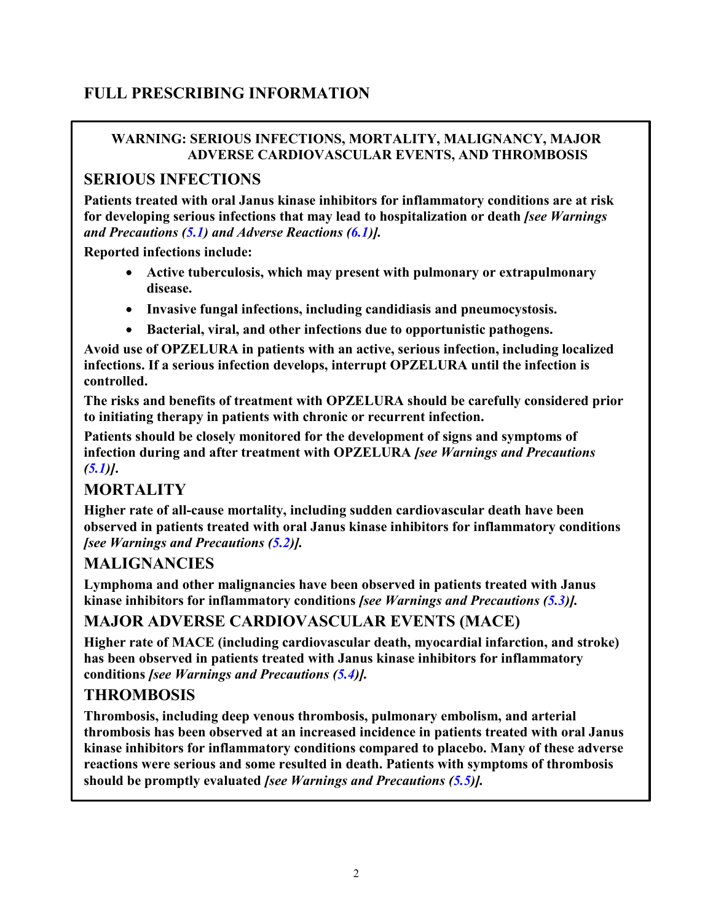# **FULL PRESCRIBING INFORMATION**

### **WARNING: SERIOUS INFECTIONS, MORTALITY, MALIGNANCY, MAJOR ADVERSE CARDIOVASCULAR EVENTS, AND THROMBOSIS**

### **SERIOUS INFECTIONS**

**Patients treated with oral Janus kinase inhibitors for inflammatory conditions are at risk for developing serious infections that may lead to hospitalization or death** *[see Warnings and Precautions [\(5.1\)](#page-2-0) and Adverse Reactions [\(6.1\)](#page-5-1)].* 

**Reported infections include:**

- **Active tuberculosis, which may present with pulmonary or extrapulmonary disease.**
- **Invasive fungal infections, including candidiasis and pneumocystosis.**
- **Bacterial, viral, and other infections due to opportunistic pathogens.**

**Avoid use of OPZELURA in patients with an active, serious infection, including localized infections. If a serious infection develops, interrupt OPZELURA until the infection is controlled.**

**The risks and benefits of treatment with OPZELURA should be carefully considered prior to initiating therapy in patients with chronic or recurrent infection.**

**Patients should be closely monitored for the development of signs and symptoms of infection during and after treatment with OPZELURA** *[see Warnings and Precautions [\(5.1\)](#page-2-0)]***.** 

## **MORTALITY**

**Higher rate of all-cause mortality, including sudden cardiovascular death have been observed in patients treated with oral Janus kinase inhibitors for inflammatory conditions** *[see Warnings and Precautions [\(5.2\)](#page-3-0)].*

### **MALIGNANCIES**

**Lymphoma and other malignancies have been observed in patients treated with Janus kinase inhibitors for inflammatory conditions** *[see Warnings and Precautions [\(5.3\)](#page-3-1)].*

### **MAJOR ADVERSE CARDIOVASCULAR EVENTS (MACE)**

**Higher rate of MACE (including cardiovascular death, myocardial infarction, and stroke) has been observed in patients treated with Janus kinase inhibitors for inflammatory conditions** *[see Warnings and Precautions [\(5.4\)](#page-4-0)].*

## **THROMBOSIS**

**Thrombosis, including deep venous thrombosis, pulmonary embolism, and arterial thrombosis has been observed at an increased incidence in patients treated with oral Janus kinase inhibitors for inflammatory conditions compared to placebo. Many of these adverse reactions were serious and some resulted in death. Patients with symptoms of thrombosis should be promptly evaluated** *[see Warnings and Precautions [\(5.5\)](#page-4-1)].*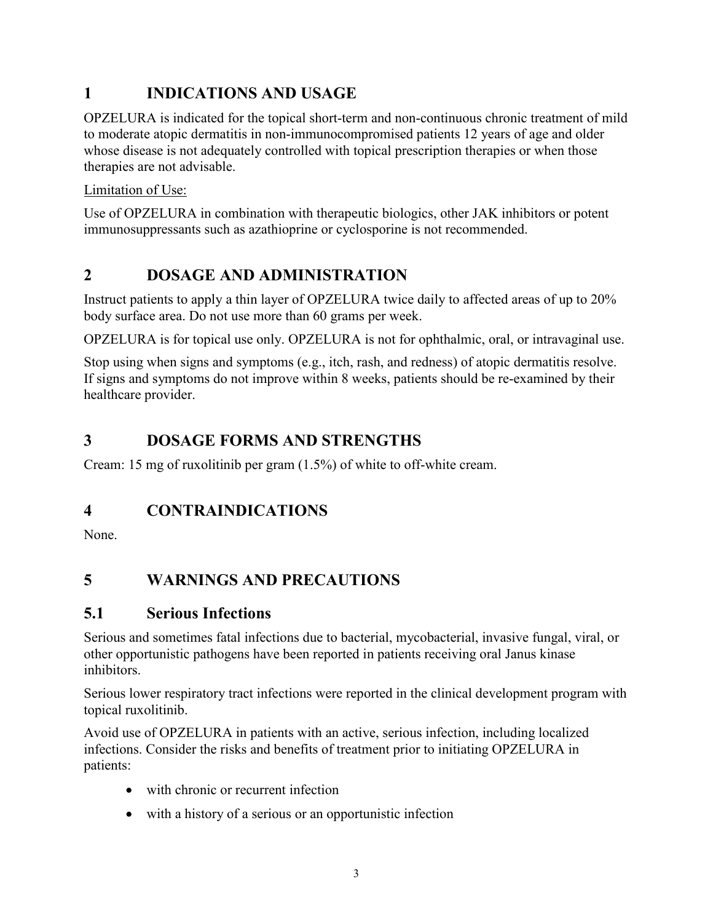# <span id="page-2-1"></span>**1 INDICATIONS AND USAGE**

OPZELURA is indicated for the topical short-term and non-continuous chronic treatment of mild to moderate atopic dermatitis in non-immunocompromised patients 12 years of age and older whose disease is not adequately controlled with topical prescription therapies or when those therapies are not advisable.

Limitation of Use:

Use of OPZELURA in combination with therapeutic biologics, other JAK inhibitors or potent immunosuppressants such as azathioprine or cyclosporine is not recommended.

# <span id="page-2-2"></span>**2 DOSAGE AND ADMINISTRATION**

Instruct patients to apply a thin layer of OPZELURA twice daily to affected areas of up to 20% body surface area. Do not use more than 60 grams per week.

OPZELURA is for topical use only. OPZELURA is not for ophthalmic, oral, or intravaginal use.

Stop using when signs and symptoms (e.g., itch, rash, and redness) of atopic dermatitis resolve. If signs and symptoms do not improve within 8 weeks, patients should be re-examined by their healthcare provider.

# <span id="page-2-3"></span>**3 DOSAGE FORMS AND STRENGTHS**

Cream: 15 mg of ruxolitinib per gram (1.5%) of white to off-white cream.

# <span id="page-2-4"></span>**4 CONTRAINDICATIONS**

None.

# **5 WARNINGS AND PRECAUTIONS**

# <span id="page-2-0"></span>**5.1 Serious Infections**

Serious and sometimes fatal infections due to bacterial, mycobacterial, invasive fungal, viral, or other opportunistic pathogens have been reported in patients receiving oral Janus kinase inhibitors.

Serious lower respiratory tract infections were reported in the clinical development program with topical ruxolitinib.

Avoid use of OPZELURA in patients with an active, serious infection, including localized infections. Consider the risks and benefits of treatment prior to initiating OPZELURA in patients:

- with chronic or recurrent infection
- with a history of a serious or an opportunistic infection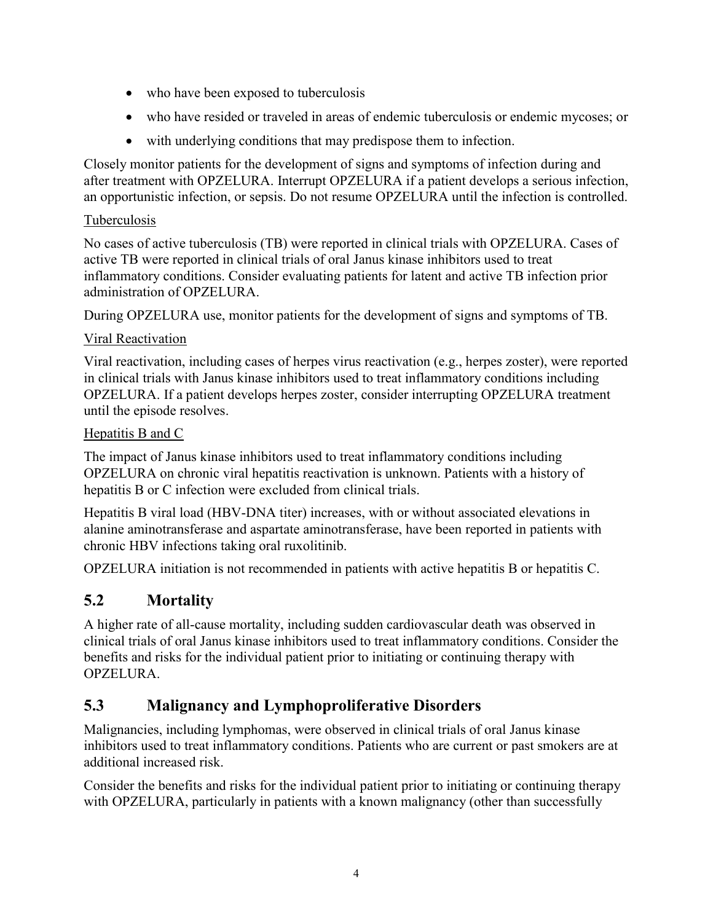- who have been exposed to tuberculosis
- who have resided or traveled in areas of endemic tuberculosis or endemic mycoses; or
- with underlying conditions that may predispose them to infection.

Closely monitor patients for the development of signs and symptoms of infection during and after treatment with OPZELURA. Interrupt OPZELURA if a patient develops a serious infection, an opportunistic infection, or sepsis. Do not resume OPZELURA until the infection is controlled.

#### Tuberculosis

No cases of active tuberculosis (TB) were reported in clinical trials with OPZELURA. Cases of active TB were reported in clinical trials of oral Janus kinase inhibitors used to treat inflammatory conditions. Consider evaluating patients for latent and active TB infection prior administration of OPZELURA.

During OPZELURA use, monitor patients for the development of signs and symptoms of TB.

#### Viral Reactivation

Viral reactivation, including cases of herpes virus reactivation (e.g., herpes zoster), were reported in clinical trials with Janus kinase inhibitors used to treat inflammatory conditions including OPZELURA. If a patient develops herpes zoster, consider interrupting OPZELURA treatment until the episode resolves.

#### Hepatitis B and C

The impact of Janus kinase inhibitors used to treat inflammatory conditions including OPZELURA on chronic viral hepatitis reactivation is unknown. Patients with a history of hepatitis B or C infection were excluded from clinical trials.

Hepatitis B viral load (HBV-DNA titer) increases, with or without associated elevations in alanine aminotransferase and aspartate aminotransferase, have been reported in patients with chronic HBV infections taking oral ruxolitinib.

OPZELURA initiation is not recommended in patients with active hepatitis B or hepatitis C.

# <span id="page-3-0"></span>**5.2 Mortality**

A higher rate of all-cause mortality, including sudden cardiovascular death was observed in clinical trials of oral Janus kinase inhibitors used to treat inflammatory conditions. Consider the benefits and risks for the individual patient prior to initiating or continuing therapy with OPZELURA.

## <span id="page-3-1"></span>**5.3 Malignancy and Lymphoproliferative Disorders**

Malignancies, including lymphomas, were observed in clinical trials of oral Janus kinase inhibitors used to treat inflammatory conditions. Patients who are current or past smokers are at additional increased risk.

Consider the benefits and risks for the individual patient prior to initiating or continuing therapy with OPZELURA, particularly in patients with a known malignancy (other than successfully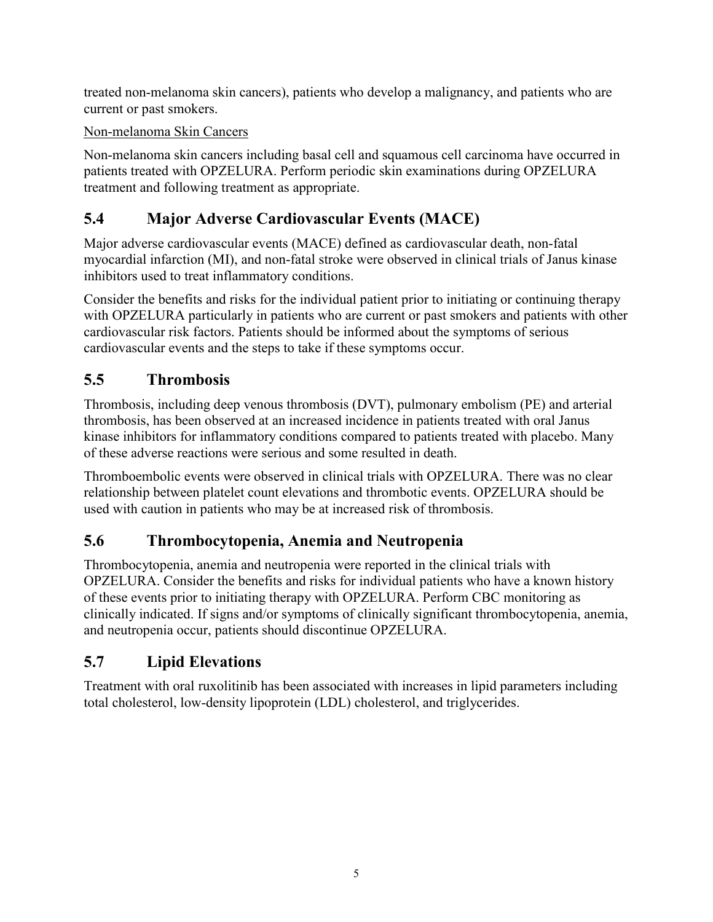treated non-melanoma skin cancers), patients who develop a malignancy, and patients who are current or past smokers.

### Non-melanoma Skin Cancers

Non-melanoma skin cancers including basal cell and squamous cell carcinoma have occurred in patients treated with OPZELURA. Perform periodic skin examinations during OPZELURA treatment and following treatment as appropriate.

# <span id="page-4-0"></span>**5.4 Major Adverse Cardiovascular Events (MACE)**

Major adverse cardiovascular events (MACE) defined as cardiovascular death, non-fatal myocardial infarction (MI), and non-fatal stroke were observed in clinical trials of Janus kinase inhibitors used to treat inflammatory conditions.

Consider the benefits and risks for the individual patient prior to initiating or continuing therapy with OPZELURA particularly in patients who are current or past smokers and patients with other cardiovascular risk factors. Patients should be informed about the symptoms of serious cardiovascular events and the steps to take if these symptoms occur.

# <span id="page-4-1"></span>**5.5 Thrombosis**

Thrombosis, including deep venous thrombosis (DVT), pulmonary embolism (PE) and arterial thrombosis, has been observed at an increased incidence in patients treated with oral Janus kinase inhibitors for inflammatory conditions compared to patients treated with placebo. Many of these adverse reactions were serious and some resulted in death.

Thromboembolic events were observed in clinical trials with OPZELURA. There was no clear relationship between platelet count elevations and thrombotic events. OPZELURA should be used with caution in patients who may be at increased risk of thrombosis.

# <span id="page-4-2"></span>**5.6 Thrombocytopenia, Anemia and Neutropenia**

Thrombocytopenia, anemia and neutropenia were reported in the clinical trials with OPZELURA. Consider the benefits and risks for individual patients who have a known history of these events prior to initiating therapy with OPZELURA. Perform CBC monitoring as clinically indicated. If signs and/or symptoms of clinically significant thrombocytopenia, anemia, and neutropenia occur, patients should discontinue OPZELURA.

# **5.7 Lipid Elevations**

Treatment with oral ruxolitinib has been associated with increases in lipid parameters including total cholesterol, low-density lipoprotein (LDL) cholesterol, and triglycerides.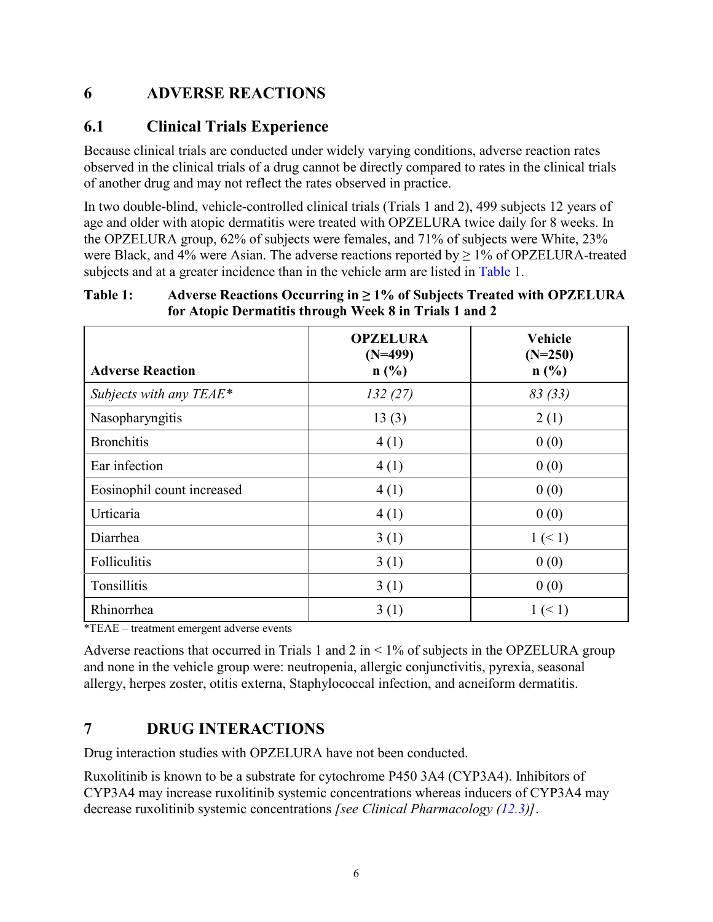## <span id="page-5-0"></span>**6 ADVERSE REACTIONS**

### <span id="page-5-1"></span>**6.1 Clinical Trials Experience**

Because clinical trials are conducted under widely varying conditions, adverse reaction rates observed in the clinical trials of a drug cannot be directly compared to rates in the clinical trials of another drug and may not reflect the rates observed in practice.

In two double-blind, vehicle-controlled clinical trials (Trials 1 and 2), 499 subjects 12 years of age and older with atopic dermatitis were treated with OPZELURA twice daily for 8 weeks. In the OPZELURA group, 62% of subjects were females, and 71% of subjects were White, 23% were Black, and 4% were Asian. The adverse reactions reported by  $\geq$  1% of OPZELURA-treated subjects and at a greater incidence than in the vehicle arm are listed in [Table 1.](#page-5-2)

#### <span id="page-5-2"></span>**Table 1: Adverse Reactions Occurring in ≥ 1% of Subjects Treated with OPZELURA for Atopic Dermatitis through Week 8 in Trials 1 and 2**

| <b>Adverse Reaction</b>    | <b>OPZELURA</b><br>$(N=499)$<br>n(%) | <b>Vehicle</b><br>$(N=250)$<br>n(%) |
|----------------------------|--------------------------------------|-------------------------------------|
| Subjects with any $TEAE^*$ | 132(27)                              | 83(33)                              |
| Nasopharyngitis            | 13(3)                                | 2(1)                                |
| <b>Bronchitis</b>          | 4(1)                                 | 0(0)                                |
| Ear infection              | 4(1)                                 | 0(0)                                |
| Eosinophil count increased | 4(1)                                 | 0(0)                                |
| Urticaria                  | 4(1)                                 | 0(0)                                |
| Diarrhea                   | 3(1)                                 | $1 \leq 1$                          |
| Folliculitis               | 3(1)                                 | 0(0)                                |
| Tonsillitis                | 3(1)                                 | 0(0)                                |
| Rhinorrhea                 | 3(1)                                 | 1 (< 1)                             |

\*TEAE – treatment emergent adverse events

Adverse reactions that occurred in Trials 1 and 2 in  $\leq$  1% of subjects in the OPZELURA group and none in the vehicle group were: neutropenia, allergic conjunctivitis, pyrexia, seasonal allergy, herpes zoster, otitis externa, Staphylococcal infection, and acneiform dermatitis.

## **7 DRUG INTERACTIONS**

Drug interaction studies with OPZELURA have not been conducted.

Ruxolitinib is known to be a substrate for cytochrome P450 3A4 (CYP3A4). Inhibitors of CYP3A4 may increase ruxolitinib systemic concentrations whereas inducers of CYP3A4 may decrease ruxolitinib systemic concentrations *[see Clinical Pharmacology [\(12.3\)](#page-9-0)]*.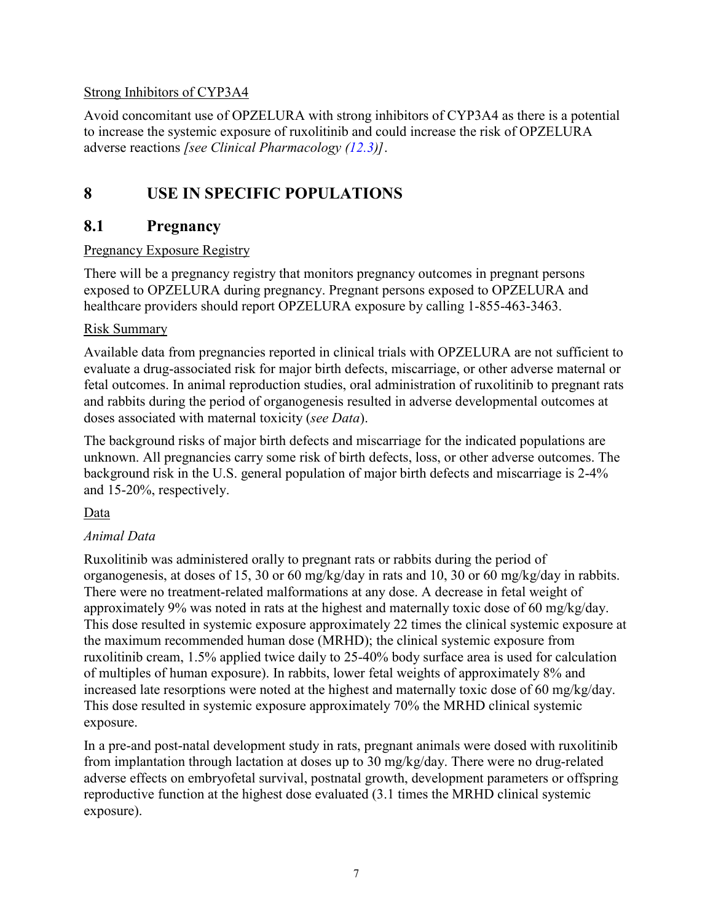#### Strong Inhibitors of CYP3A4

Avoid concomitant use of OPZELURA with strong inhibitors of CYP3A4 as there is a potential to increase the systemic exposure of ruxolitinib and could increase the risk of OPZELURA adverse reactions *[see Clinical Pharmacology [\(12.3\)](#page-9-0)]*.

# **8 USE IN SPECIFIC POPULATIONS**

### <span id="page-6-1"></span>**8.1 Pregnancy**

#### Pregnancy Exposure Registry

There will be a pregnancy registry that monitors pregnancy outcomes in pregnant persons exposed to OPZELURA during pregnancy. Pregnant persons exposed to OPZELURA and healthcare providers should report OPZELURA exposure by calling 1-855-463-3463.

#### Risk Summary

Available data from pregnancies reported in clinical trials with OPZELURA are not sufficient to evaluate a drug-associated risk for major birth defects, miscarriage, or other adverse maternal or fetal outcomes. In animal reproduction studies, oral administration of ruxolitinib to pregnant rats and rabbits during the period of organogenesis resulted in adverse developmental outcomes at doses associated with maternal toxicity (*see [Data](#page-6-0)*).

The background risks of major birth defects and miscarriage for the indicated populations are unknown. All pregnancies carry some risk of birth defects, loss, or other adverse outcomes. The background risk in the U.S. general population of major birth defects and miscarriage is 2-4% and 15-20%, respectively.

### <span id="page-6-0"></span>Data

### *Animal Data*

Ruxolitinib was administered orally to pregnant rats or rabbits during the period of organogenesis, at doses of 15, 30 or 60 mg/kg/day in rats and 10, 30 or 60 mg/kg/day in rabbits. There were no treatment-related malformations at any dose. A decrease in fetal weight of approximately 9% was noted in rats at the highest and maternally toxic dose of 60 mg/kg/day. This dose resulted in systemic exposure approximately 22 times the clinical systemic exposure at the maximum recommended human dose (MRHD); the clinical systemic exposure from ruxolitinib cream, 1.5% applied twice daily to 25-40% body surface area is used for calculation of multiples of human exposure). In rabbits, lower fetal weights of approximately 8% and increased late resorptions were noted at the highest and maternally toxic dose of 60 mg/kg/day. This dose resulted in systemic exposure approximately 70% the MRHD clinical systemic exposure.

In a pre-and post-natal development study in rats, pregnant animals were dosed with ruxolitinib from implantation through lactation at doses up to 30 mg/kg/day. There were no drug-related adverse effects on embryofetal survival, postnatal growth, development parameters or offspring reproductive function at the highest dose evaluated (3.1 times the MRHD clinical systemic exposure).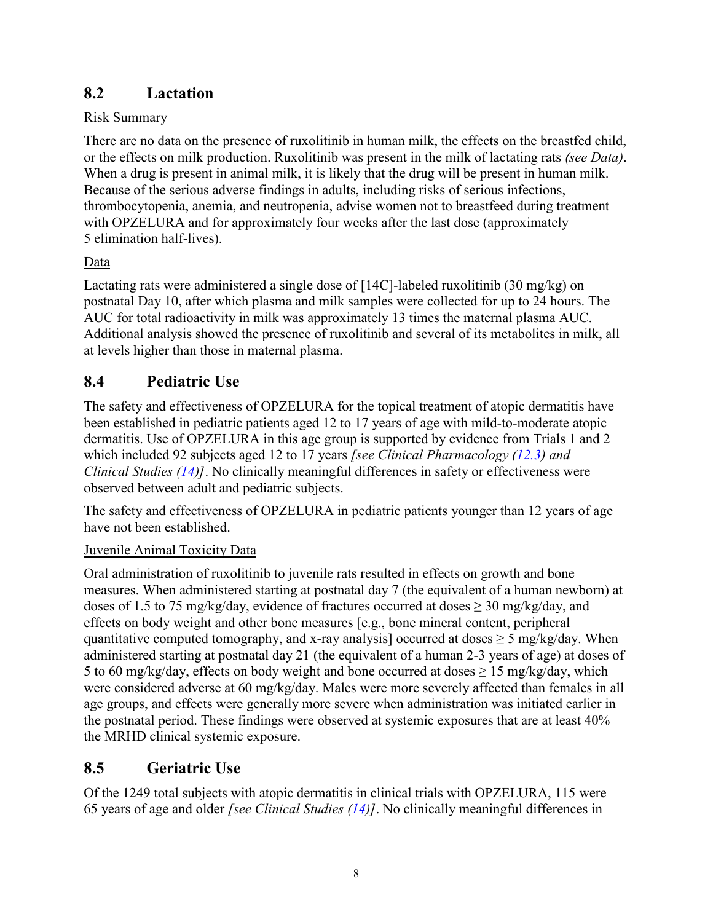# <span id="page-7-0"></span>**8.2 Lactation**

### Risk Summary

There are no data on the presence of ruxolitinib in human milk, the effects on the breastfed child, or the effects on milk production. Ruxolitinib was present in the milk of lactating rats *(see [Data\)](#page-7-1)*. When a drug is present in animal milk, it is likely that the drug will be present in human milk. Because of the serious adverse findings in adults, including risks of serious infections, thrombocytopenia, anemia, and neutropenia, advise women not to breastfeed during treatment with OPZELURA and for approximately four weeks after the last dose (approximately 5 elimination half-lives).

### <span id="page-7-1"></span>Data

Lactating rats were administered a single dose of [14C]-labeled ruxolitinib (30 mg/kg) on postnatal Day 10, after which plasma and milk samples were collected for up to 24 hours. The AUC for total radioactivity in milk was approximately 13 times the maternal plasma AUC. Additional analysis showed the presence of ruxolitinib and several of its metabolites in milk, all at levels higher than those in maternal plasma.

# **8.4 Pediatric Use**

The safety and effectiveness of OPZELURA for the topical treatment of atopic dermatitis have been established in pediatric patients aged 12 to 17 years of age with mild-to-moderate atopic dermatitis. Use of OPZELURA in this age group is supported by evidence from Trials 1 and 2 which included 92 subjects aged 12 to 17 years *[see Clinical Pharmacology [\(12.3\)](#page-9-0) and Clinical Studies [\(14\)](#page-10-0)]*. No clinically meaningful differences in safety or effectiveness were observed between adult and pediatric subjects.

The safety and effectiveness of OPZELURA in pediatric patients younger than 12 years of age have not been established.

### Juvenile Animal Toxicity Data

Oral administration of ruxolitinib to juvenile rats resulted in effects on growth and bone measures. When administered starting at postnatal day 7 (the equivalent of a human newborn) at doses of 1.5 to 75 mg/kg/day, evidence of fractures occurred at doses  $\geq 30$  mg/kg/day, and effects on body weight and other bone measures [e.g., bone mineral content, peripheral quantitative computed tomography, and x-ray analysis] occurred at doses  $\geq$  5 mg/kg/day. When administered starting at postnatal day 21 (the equivalent of a human 2-3 years of age) at doses of 5 to 60 mg/kg/day, effects on body weight and bone occurred at doses  $\geq$  15 mg/kg/day, which were considered adverse at 60 mg/kg/day. Males were more severely affected than females in all age groups, and effects were generally more severe when administration was initiated earlier in the postnatal period. These findings were observed at systemic exposures that are at least 40% the MRHD clinical systemic exposure.

# **8.5 Geriatric Use**

Of the 1249 total subjects with atopic dermatitis in clinical trials with OPZELURA, 115 were 65 years of age and older *[see Clinical Studies [\(14\)](#page-10-0)]*. No clinically meaningful differences in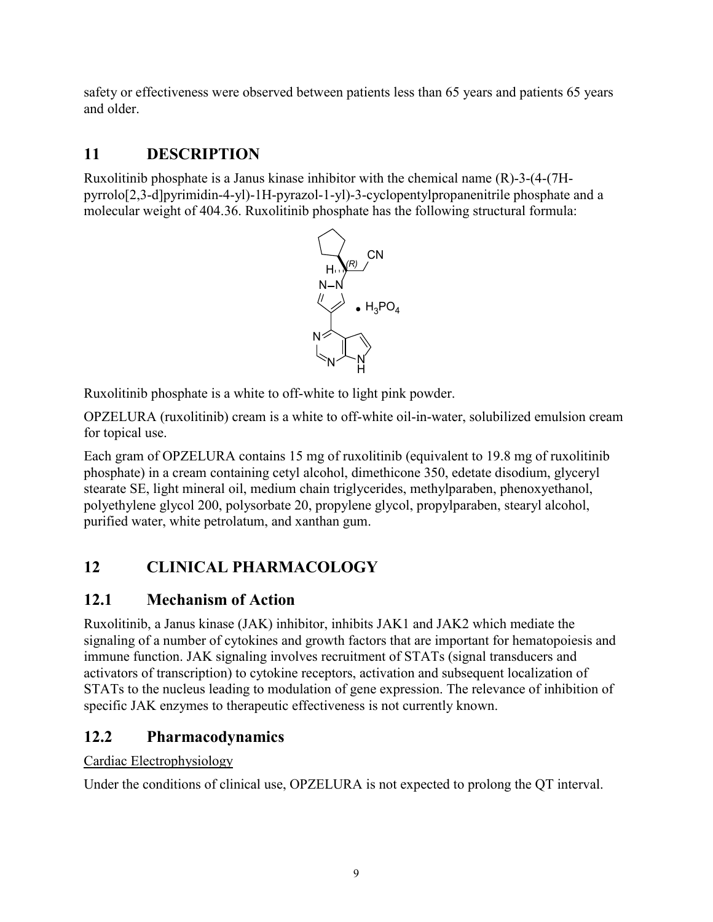safety or effectiveness were observed between patients less than 65 years and patients 65 years and older.

# **11 DESCRIPTION**

Ruxolitinib phosphate is a Janus kinase inhibitor with the chemical name (R)-3-(4-(7Hpyrrolo[2,3-d]pyrimidin-4-yl)-1H-pyrazol-1-yl)-3-cyclopentylpropanenitrile phosphate and a molecular weight of 404.36. Ruxolitinib phosphate has the following structural formula:



Ruxolitinib phosphate is a white to off-white to light pink powder.

OPZELURA (ruxolitinib) cream is a white to off-white oil-in-water, solubilized emulsion cream for topical use.

Each gram of OPZELURA contains 15 mg of ruxolitinib (equivalent to 19.8 mg of ruxolitinib phosphate) in a cream containing cetyl alcohol, dimethicone 350, edetate disodium, glyceryl stearate SE, light mineral oil, medium chain triglycerides, methylparaben, phenoxyethanol, polyethylene glycol 200, polysorbate 20, propylene glycol, propylparaben, stearyl alcohol, purified water, white petrolatum, and xanthan gum.

# **12 CLINICAL PHARMACOLOGY**

# **12.1 Mechanism of Action**

Ruxolitinib, a Janus kinase (JAK) inhibitor, inhibits JAK1 and JAK2 which mediate the signaling of a number of cytokines and growth factors that are important for hematopoiesis and immune function. JAK signaling involves recruitment of STATs (signal transducers and activators of transcription) to cytokine receptors, activation and subsequent localization of STATs to the nucleus leading to modulation of gene expression. The relevance of inhibition of specific JAK enzymes to therapeutic effectiveness is not currently known.

# **12.2 Pharmacodynamics**

Cardiac Electrophysiology

Under the conditions of clinical use, OPZELURA is not expected to prolong the QT interval.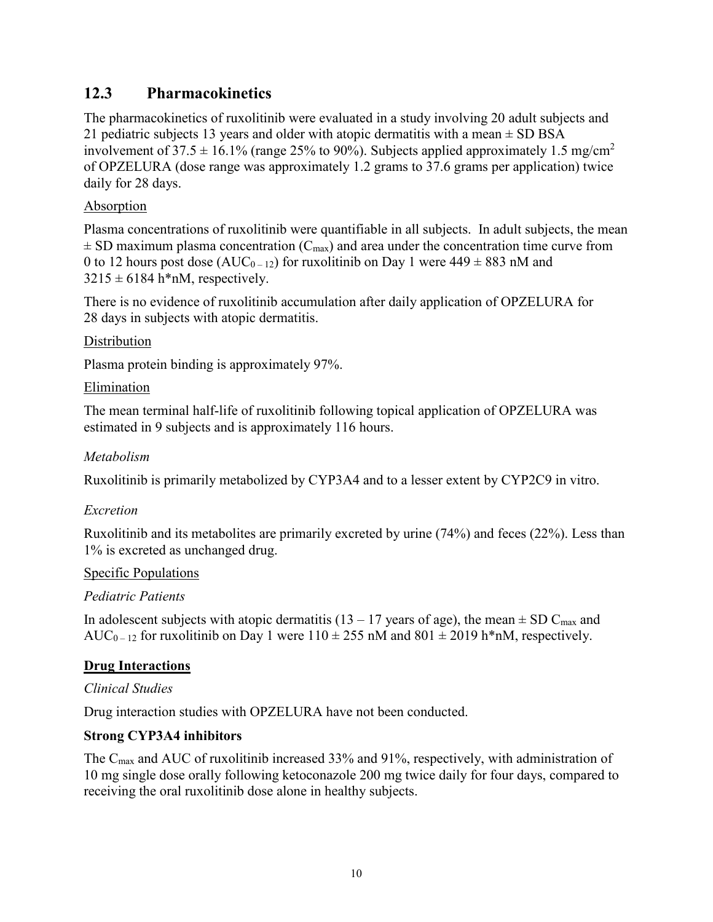### <span id="page-9-0"></span>**12.3 Pharmacokinetics**

The pharmacokinetics of ruxolitinib were evaluated in a study involving 20 adult subjects and 21 pediatric subjects 13 years and older with atopic dermatitis with a mean  $\pm$  SD BSA involvement of 37.5  $\pm$  16.1% (range 25% to 90%). Subjects applied approximately 1.5 mg/cm<sup>2</sup> of OPZELURA (dose range was approximately 1.2 grams to 37.6 grams per application) twice daily for 28 days.

#### Absorption

Plasma concentrations of ruxolitinib were quantifiable in all subjects. In adult subjects, the mean  $\pm$  SD maximum plasma concentration (C<sub>max</sub>) and area under the concentration time curve from 0 to 12 hours post dose (AUC<sub>0-12</sub>) for ruxolitinib on Day 1 were  $449 \pm 883$  nM and  $3215 \pm 6184$  h\*nM, respectively.

There is no evidence of ruxolitinib accumulation after daily application of OPZELURA for 28 days in subjects with atopic dermatitis.

#### **Distribution**

Plasma protein binding is approximately 97%.

#### Elimination

The mean terminal half-life of ruxolitinib following topical application of OPZELURA was estimated in 9 subjects and is approximately 116 hours.

#### *Metabolism*

Ruxolitinib is primarily metabolized by CYP3A4 and to a lesser extent by CYP2C9 in vitro.

### *Excretion*

Ruxolitinib and its metabolites are primarily excreted by urine (74%) and feces (22%). Less than 1% is excreted as unchanged drug.

#### Specific Populations

### *Pediatric Patients*

In adolescent subjects with atopic dermatitis (13 – 17 years of age), the mean  $\pm$  SD C<sub>max</sub> and AUC<sub>0-12</sub> for ruxolitinib on Day 1 were  $110 \pm 255$  nM and  $801 \pm 2019$  h\*nM, respectively.

### **Drug Interactions**

#### *Clinical Studies*

Drug interaction studies with OPZELURA have not been conducted.

### **Strong CYP3A4 inhibitors**

The  $C_{\text{max}}$  and AUC of ruxolitinib increased 33% and 91%, respectively, with administration of 10 mg single dose orally following ketoconazole 200 mg twice daily for four days, compared to receiving the oral ruxolitinib dose alone in healthy subjects.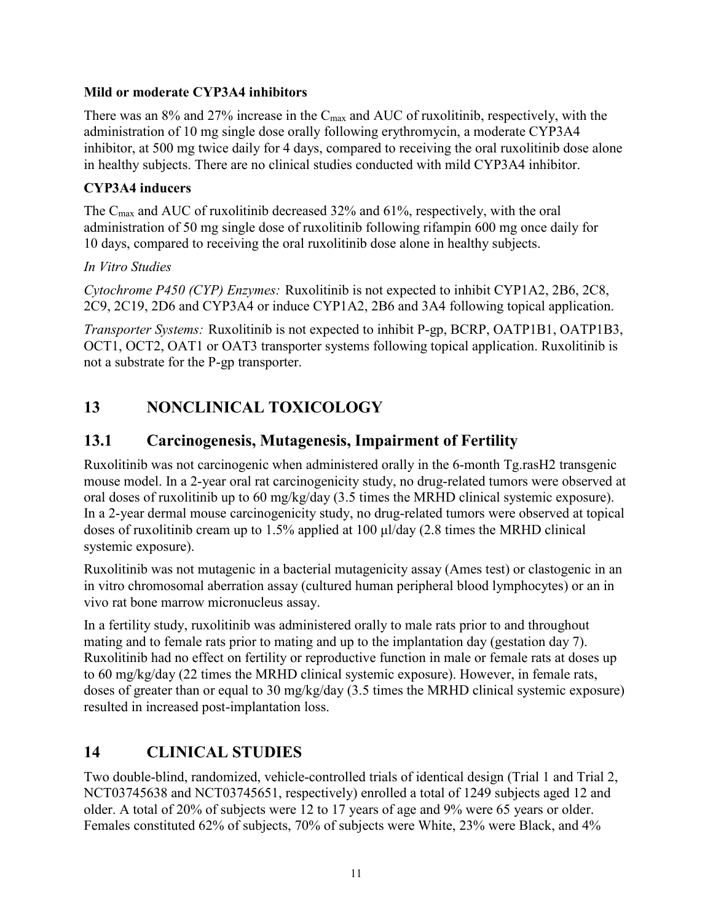#### **Mild or moderate CYP3A4 inhibitors**

There was an  $8\%$  and  $27\%$  increase in the C<sub>max</sub> and AUC of ruxolitinib, respectively, with the administration of 10 mg single dose orally following erythromycin, a moderate CYP3A4 inhibitor, at 500 mg twice daily for 4 days, compared to receiving the oral ruxolitinib dose alone in healthy subjects. There are no clinical studies conducted with mild CYP3A4 inhibitor.

#### **CYP3A4 inducers**

The Cmax and AUC of ruxolitinib decreased 32% and 61%, respectively, with the oral administration of 50 mg single dose of ruxolitinib following rifampin 600 mg once daily for 10 days, compared to receiving the oral ruxolitinib dose alone in healthy subjects.

#### *In Vitro Studies*

*Cytochrome P450 (CYP) Enzymes:* Ruxolitinib is not expected to inhibit CYP1A2, 2B6, 2C8, 2C9, 2C19, 2D6 and CYP3A4 or induce CYP1A2, 2B6 and 3A4 following topical application.

*Transporter Systems:* Ruxolitinib is not expected to inhibit P-gp, BCRP, OATP1B1, OATP1B3, OCT1, OCT2, OAT1 or OAT3 transporter systems following topical application. Ruxolitinib is not a substrate for the P-gp transporter.

# **13 NONCLINICAL TOXICOLOGY**

## **13.1 Carcinogenesis, Mutagenesis, Impairment of Fertility**

Ruxolitinib was not carcinogenic when administered orally in the 6-month Tg.rasH2 transgenic mouse model. In a 2-year oral rat carcinogenicity study, no drug-related tumors were observed at oral doses of ruxolitinib up to 60 mg/kg/day (3.5 times the MRHD clinical systemic exposure). In a 2-year dermal mouse carcinogenicity study, no drug-related tumors were observed at topical doses of ruxolitinib cream up to 1.5% applied at 100 μl/day (2.8 times the MRHD clinical systemic exposure).

Ruxolitinib was not mutagenic in a bacterial mutagenicity assay (Ames test) or clastogenic in an in vitro chromosomal aberration assay (cultured human peripheral blood lymphocytes) or an in vivo rat bone marrow micronucleus assay.

In a fertility study, ruxolitinib was administered orally to male rats prior to and throughout mating and to female rats prior to mating and up to the implantation day (gestation day 7). Ruxolitinib had no effect on fertility or reproductive function in male or female rats at doses up to 60 mg/kg/day (22 times the MRHD clinical systemic exposure). However, in female rats, doses of greater than or equal to 30 mg/kg/day (3.5 times the MRHD clinical systemic exposure) resulted in increased post-implantation loss.

## <span id="page-10-0"></span>**14 CLINICAL STUDIES**

Two double-blind, randomized, vehicle-controlled trials of identical design (Trial 1 and Trial 2, NCT03745638 and NCT03745651, respectively) enrolled a total of 1249 subjects aged 12 and older. A total of 20% of subjects were 12 to 17 years of age and 9% were 65 years or older. Females constituted 62% of subjects, 70% of subjects were White, 23% were Black, and 4%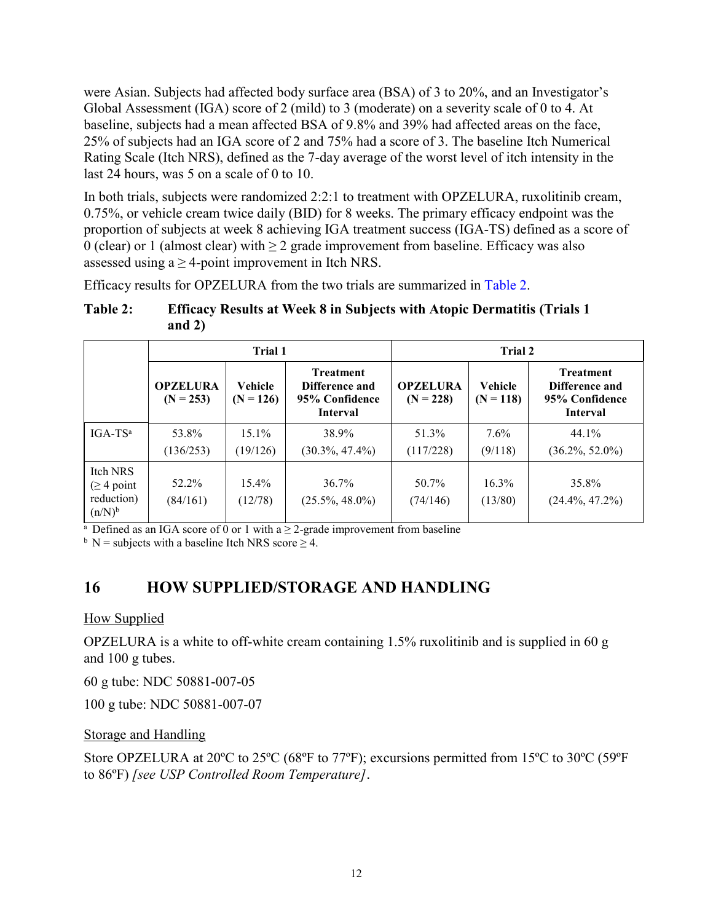were Asian. Subjects had affected body surface area (BSA) of 3 to 20%, and an Investigator's Global Assessment (IGA) score of 2 (mild) to 3 (moderate) on a severity scale of 0 to 4. At baseline, subjects had a mean affected BSA of 9.8% and 39% had affected areas on the face, 25% of subjects had an IGA score of 2 and 75% had a score of 3. The baseline Itch Numerical Rating Scale (Itch NRS), defined as the 7-day average of the worst level of itch intensity in the last 24 hours, was 5 on a scale of 0 to 10.

In both trials, subjects were randomized 2:2:1 to treatment with OPZELURA, ruxolitinib cream, 0.75%, or vehicle cream twice daily (BID) for 8 weeks. The primary efficacy endpoint was the proportion of subjects at week 8 achieving IGA treatment success (IGA-TS) defined as a score of 0 (clear) or 1 (almost clear) with  $\geq 2$  grade improvement from baseline. Efficacy was also assessed using  $a \ge 4$ -point improvement in Itch NRS.

Efficacy results for OPZELURA from the two trials are summarized in [Table 2.](#page-11-0)

#### <span id="page-11-0"></span>**Table 2: Efficacy Results at Week 8 in Subjects with Atopic Dermatitis (Trials 1 and 2)**

|                                                     | Trial 1                        |                               |                                                                         | Trial 2                        |                               |                                                                         |
|-----------------------------------------------------|--------------------------------|-------------------------------|-------------------------------------------------------------------------|--------------------------------|-------------------------------|-------------------------------------------------------------------------|
|                                                     | <b>OPZELURA</b><br>$(N = 253)$ | <b>Vehicle</b><br>$(N = 126)$ | <b>Treatment</b><br>Difference and<br>95% Confidence<br><b>Interval</b> | <b>OPZELURA</b><br>$(N = 228)$ | <b>Vehicle</b><br>$(N = 118)$ | <b>Treatment</b><br>Difference and<br>95% Confidence<br><b>Interval</b> |
| $IGA-TSa$                                           | 53.8%                          | $15.1\%$                      | 38.9%                                                                   | 51.3%                          | $7.6\%$                       | 44.1%                                                                   |
|                                                     | (136/253)                      | (19/126)                      | $(30.3\%, 47.4\%)$                                                      | (117/228)                      | (9/118)                       | $(36.2\%, 52.0\%)$                                                      |
| Itch NRS<br>$(≥ 4$ point<br>reduction)<br>$(n/N)^b$ | 52.2%<br>(84/161)              | $15.4\%$<br>(12/78)           | 36.7%<br>$(25.5\%, 48.0\%)$                                             | 50.7%<br>(74/146)              | 16.3%<br>(13/80)              | 35.8%<br>$(24.4\%, 47.2\%)$                                             |

<sup>a</sup> Defined as an IGA score of 0 or 1 with a  $\geq$  2-grade improvement from baseline

 $b$  N = subjects with a baseline Itch NRS score  $\geq$  4.

## **16 HOW SUPPLIED/STORAGE AND HANDLING**

#### How Supplied

OPZELURA is a white to off-white cream containing 1.5% ruxolitinib and is supplied in 60 g and 100 g tubes.

60 g tube: NDC 50881-007-05

100 g tube: NDC 50881-007-07

### Storage and Handling

Store OPZELURA at 20ºC to 25ºC (68ºF to 77ºF); excursions permitted from 15ºC to 30ºC (59ºF to 86ºF) *[see USP Controlled Room Temperature]*.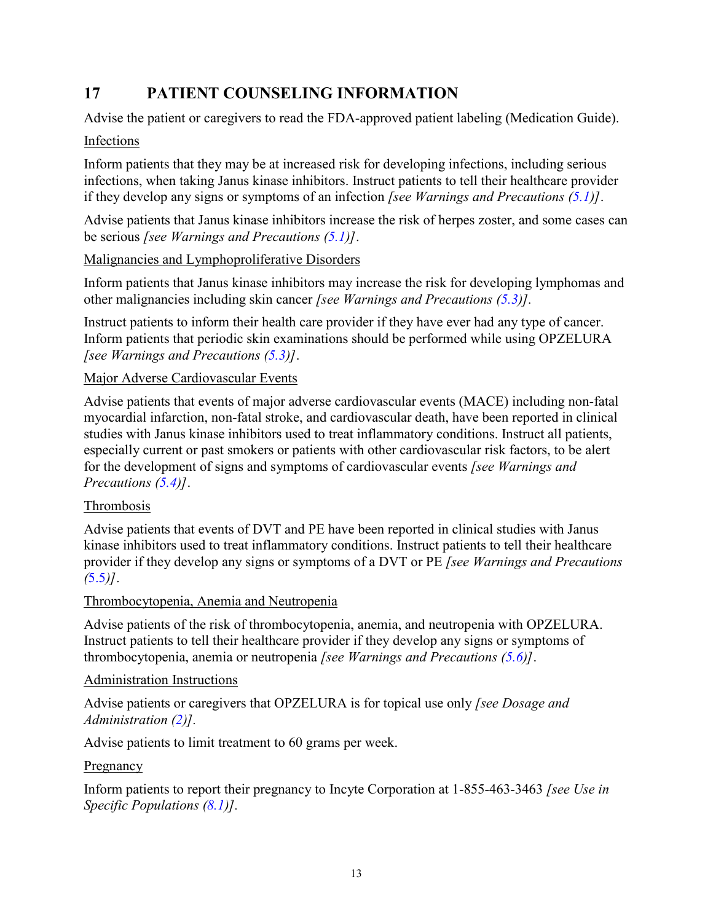# <span id="page-12-0"></span>**17 PATIENT COUNSELING INFORMATION**

Advise the patient or caregivers to read the FDA-approved patient labeling (Medication Guide).

### Infections

Inform patients that they may be at increased risk for developing infections, including serious infections, when taking Janus kinase inhibitors. Instruct patients to tell their healthcare provider if they develop any signs or symptoms of an infection *[see Warnings and Precautions [\(5.1\)](#page-2-0)]*.

Advise patients that Janus kinase inhibitors increase the risk of herpes zoster, and some cases can be serious *[see Warnings and Precautions [\(5.1\)](#page-2-0)]*.

#### Malignancies and Lymphoproliferative Disorders

Inform patients that Janus kinase inhibitors may increase the risk for developing lymphomas and other malignancies including skin cancer *[see Warnings and Precautions [\(5.3\)](#page-3-1)].*

Instruct patients to inform their health care provider if they have ever had any type of cancer. Inform patients that periodic skin examinations should be performed while using OPZELURA *[see Warnings and Precautions [\(5.3\)](#page-3-1)]*.

#### Major Adverse Cardiovascular Events

Advise patients that events of major adverse cardiovascular events (MACE) including non-fatal myocardial infarction, non-fatal stroke, and cardiovascular death, have been reported in clinical studies with Janus kinase inhibitors used to treat inflammatory conditions. Instruct all patients, especially current or past smokers or patients with other cardiovascular risk factors, to be alert for the development of signs and symptoms of cardiovascular events *[see Warnings and Precautions [\(5.4\)](#page-4-0)]*.

#### Thrombosis

Advise patients that events of DVT and PE have been reported in clinical studies with Janus kinase inhibitors used to treat inflammatory conditions. Instruct patients to tell their healthcare provider if they develop any signs or symptoms of a DVT or PE *[see Warnings and Precautions (*[5.5](#page-4-1)*)]*.

### Thrombocytopenia, Anemia and Neutropenia

Advise patients of the risk of thrombocytopenia, anemia, and neutropenia with OPZELURA. Instruct patients to tell their healthcare provider if they develop any signs or symptoms of thrombocytopenia, anemia or neutropenia *[see Warnings and Precautions [\(5.6\)](#page-4-2)]*.

#### Administration Instructions

Advise patients or caregivers that OPZELURA is for topical use only *[see Dosage and Administration [\(2\)](#page-2-2)].*

Advise patients to limit treatment to 60 grams per week.

#### Pregnancy

Inform patients to report their pregnancy to Incyte Corporation at 1-855-463-3463 *[see Use in Specific Populations [\(8.1\)](#page-6-1)].*